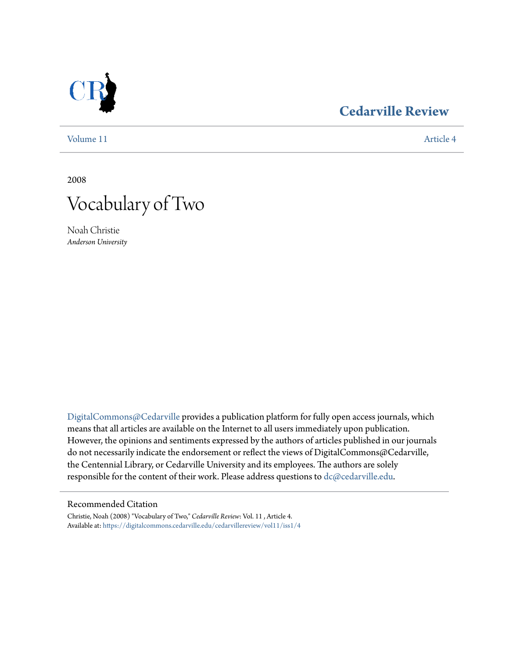

### **[Cedarville Review](https://digitalcommons.cedarville.edu/cedarvillereview?utm_source=digitalcommons.cedarville.edu%2Fcedarvillereview%2Fvol11%2Fiss1%2F4&utm_medium=PDF&utm_campaign=PDFCoverPages)**

[Volume 11](https://digitalcommons.cedarville.edu/cedarvillereview/vol11?utm_source=digitalcommons.cedarville.edu%2Fcedarvillereview%2Fvol11%2Fiss1%2F4&utm_medium=PDF&utm_campaign=PDFCoverPages) [Article 4](https://digitalcommons.cedarville.edu/cedarvillereview/vol11/iss1/4?utm_source=digitalcommons.cedarville.edu%2Fcedarvillereview%2Fvol11%2Fiss1%2F4&utm_medium=PDF&utm_campaign=PDFCoverPages)

2008



Noah Christie *Anderson University*

[DigitalCommons@Cedarville](http://digitalcommons.cedarville.edu) provides a publication platform for fully open access journals, which means that all articles are available on the Internet to all users immediately upon publication. However, the opinions and sentiments expressed by the authors of articles published in our journals do not necessarily indicate the endorsement or reflect the views of DigitalCommons@Cedarville, the Centennial Library, or Cedarville University and its employees. The authors are solely responsible for the content of their work. Please address questions to [dc@cedarville.edu](mailto:dc@cedarville.edu).

#### Recommended Citation

Christie, Noah (2008) "Vocabulary of Two," *Cedarville Review*: Vol. 11 , Article 4. Available at: [https://digitalcommons.cedarville.edu/cedarvillereview/vol11/iss1/4](https://digitalcommons.cedarville.edu/cedarvillereview/vol11/iss1/4?utm_source=digitalcommons.cedarville.edu%2Fcedarvillereview%2Fvol11%2Fiss1%2F4&utm_medium=PDF&utm_campaign=PDFCoverPages)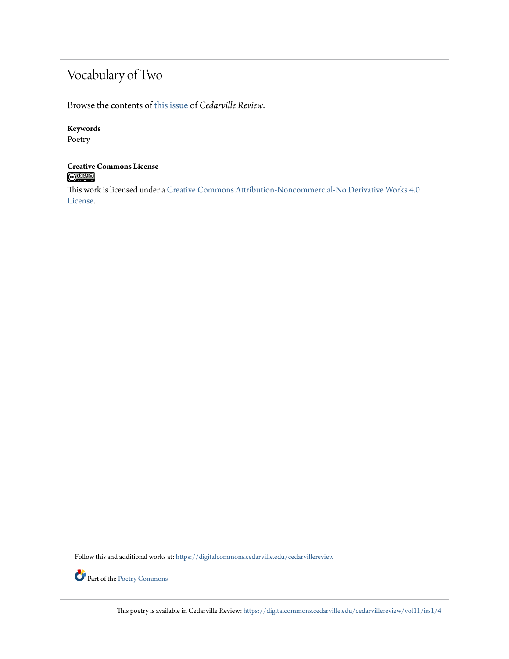## Vocabulary of Two

Browse the contents of [this issue](https://digitalcommons.cedarville.edu/cedarvillereview/vol11/iss1) of *Cedarville Review*.

### **Keywords**

Poetry

# **Creative Commons License**

This work is licensed under a [Creative Commons Attribution-Noncommercial-No Derivative Works 4.0](http://creativecommons.org/licenses/by-nc-nd/4.0/) [License.](http://creativecommons.org/licenses/by-nc-nd/4.0/)

Follow this and additional works at: [https://digitalcommons.cedarville.edu/cedarvillereview](https://digitalcommons.cedarville.edu/cedarvillereview?utm_source=digitalcommons.cedarville.edu%2Fcedarvillereview%2Fvol11%2Fiss1%2F4&utm_medium=PDF&utm_campaign=PDFCoverPages)



This poetry is available in Cedarville Review: [https://digitalcommons.cedarville.edu/cedarvillereview/vol11/iss1/4](https://digitalcommons.cedarville.edu/cedarvillereview/vol11/iss1/4?utm_source=digitalcommons.cedarville.edu%2Fcedarvillereview%2Fvol11%2Fiss1%2F4&utm_medium=PDF&utm_campaign=PDFCoverPages)